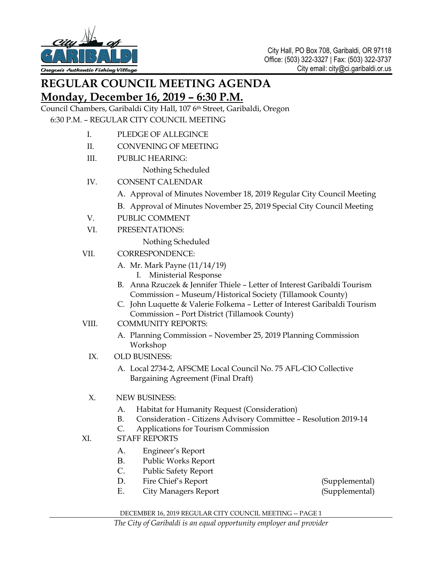

## **REGULAR COUNCIL MEETING AGENDA Monday, December 16, 2019 – 6:30 P.M.**

Council Chambers, Garibaldi City Hall, 107 6th Street, Garibaldi, Oregon 6:30 P.M. – REGULAR CITY COUNCIL MEETING

- I. PLEDGE OF ALLEGINCE
- II. CONVENING OF MEETING
- III. PUBLIC HEARING:
	- Nothing Scheduled
- IV. CONSENT CALENDAR
	- A. Approval of Minutes November 18, 2019 Regular City Council Meeting
	- B. Approval of Minutes November 25, 2019 Special City Council Meeting
- V. PUBLIC COMMENT
- VI. PRESENTATIONS:

Nothing Scheduled

- VII. CORRESPONDENCE:
	- A. Mr. Mark Payne (11/14/19)
		- I. Ministerial Response
	- B. Anna Rzuczek & Jennifer Thiele Letter of Interest Garibaldi Tourism Commission – Museum/Historical Society (Tillamook County)
	- C. John Luquette & Valerie Folkema Letter of Interest Garibaldi Tourism Commission – Port District (Tillamook County)
- VIII. COMMUNITY REPORTS:
	- A. Planning Commission November 25, 2019 Planning Commission Workshop
	- IX. OLD BUSINESS:
		- A. Local 2734-2, AFSCME Local Council No. 75 AFL-CIO Collective Bargaining Agreement (Final Draft)
	- X. NEW BUSINESS:
		- A. Habitat for Humanity Request (Consideration)
		- B. Consideration Citizens Advisory Committee Resolution 2019-14
		- C. Applications for Tourism Commission
- XI. STAFF REPORTS
	- A. Engineer's Report
	- B. Public Works Report
	- C. Public Safety Report
	- D. Fire Chief's Report (Supplemental)
		-
	- E. City Managers Report (Supplemental)

DECEMBER 16, 2019 REGULAR CITY COUNCIL MEETING -- PAGE 1